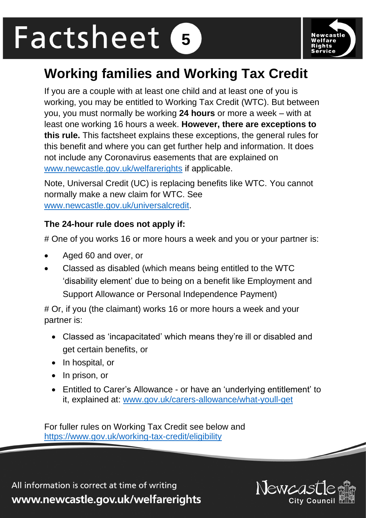# Factsheet **5**



# **Working families and Working Tax Credit**

If you are a couple with at least one child and at least one of you is working, you may be entitled to Working Tax Credit (WTC). But between you, you must normally be working **24 hours** or more a week – with at least one working 16 hours a week. **However, there are exceptions to this rule.** This factsheet explains these exceptions, the general rules for this benefit and where you can get further help and information. It does not include any Coronavirus easements that are explained on [www.newcastle.gov.uk/welfarerights](http://www.newcastle.gov.uk/welfarerights) if applicable.

Note, Universal Credit (UC) is replacing benefits like WTC. You cannot normally make a new claim for WTC. See [www.newcastle.gov.uk/universalcredit.](http://www.newcastle.gov.uk/universalcredit)

#### **The 24-hour rule does not apply if:**

# One of you works 16 or more hours a week and you or your partner is:

- Aged 60 and over, or
- Classed as disabled (which means being entitled to the WTC 'disability element' due to being on a benefit like Employment and Support Allowance or Personal Independence Payment)

# Or, if you (the claimant) works 16 or more hours a week and your partner is:

- Classed as 'incapacitated' which means they're ill or disabled and get certain benefits, or
- In hospital, or
- In prison, or
- Entitled to Carer's Allowance or have an 'underlying entitlement' to it, explained at: [www.gov.uk/carers-allowance/what-youll-get](http://www.gov.uk/carers-allowance/what-youll-get)

For fuller rules on Working Tax Credit see below and <https://www.gov.uk/working-tax-credit/eligibility>

All information is correct at time of writing www.newcastle.gov.uk/welfarerights